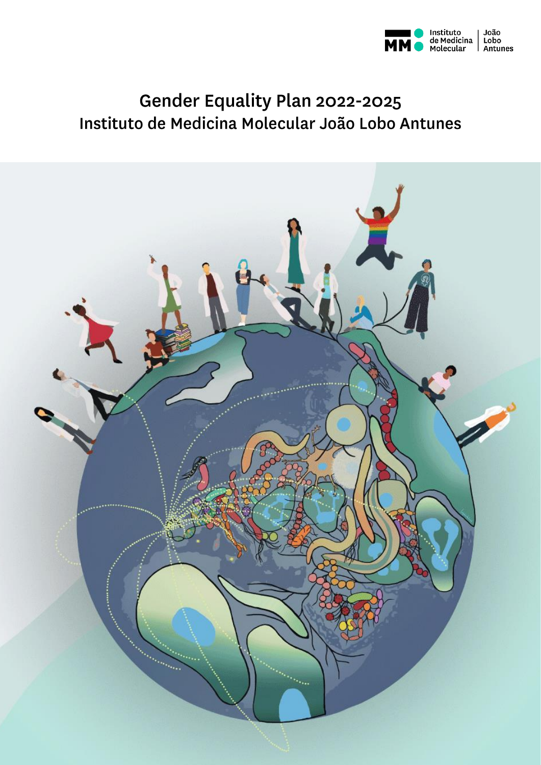

# Gender Equality Plan 2022-2025 Instituto de Medicina Molecular João Lobo Antunes

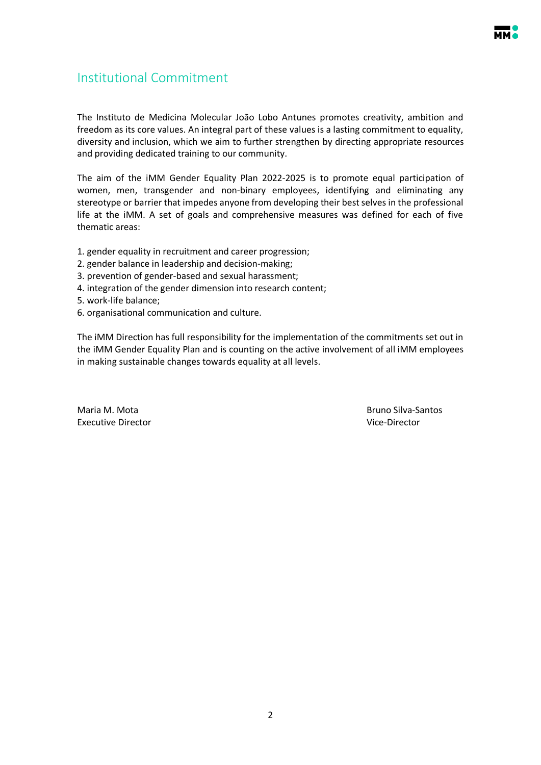

## <span id="page-1-0"></span>Institutional Commitment

The Instituto de Medicina Molecular João Lobo Antunes promotes creativity, ambition and freedom as its core values. An integral part of these values is a lasting commitment to equality, diversity and inclusion, which we aim to further strengthen by directing appropriate resources and providing dedicated training to our community.

The aim of the iMM Gender Equality Plan 2022-2025 is to promote equal participation of women, men, transgender and non-binary employees, identifying and eliminating any stereotype or barrier that impedes anyone from developing their best selves in the professional life at the iMM. A set of goals and comprehensive measures was defined for each of five thematic areas:

- 1. gender equality in recruitment and career progression;
- 2. gender balance in leadership and decision-making;
- 3. prevention of gender-based and sexual harassment;
- 4. integration of the gender dimension into research content;
- 5. work-life balance;
- 6. organisational communication and culture.

The iMM Direction has full responsibility for the implementation of the commitments set out in the iMM Gender Equality Plan and is counting on the active involvement of all iMM employees in making sustainable changes towards equality at all levels.

Maria M. Mota Bruno Silva-Santos Executive Director **Executive Director Vice-Director**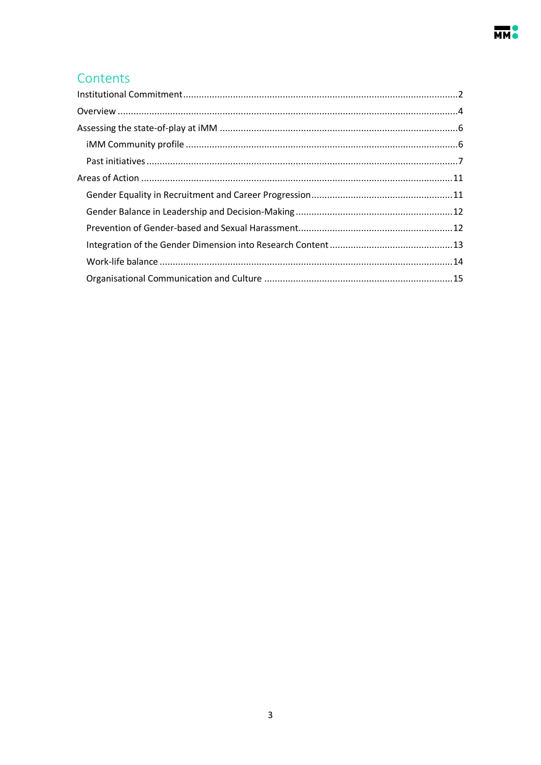## Contents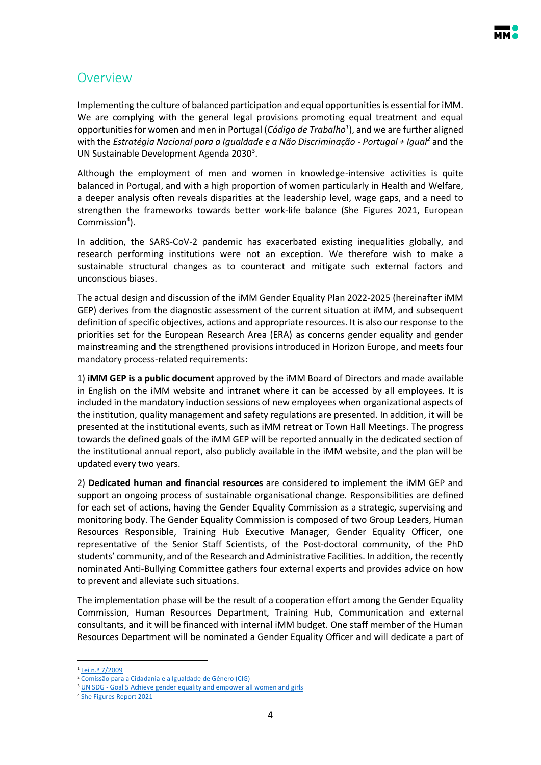## <span id="page-3-0"></span>Overview

Implementing the culture of balanced participation and equal opportunities is essential for iMM. We are complying with the general legal provisions promoting equal treatment and equal opportunities for women and men in Portugal (*Código de Trabalho<sup>1</sup>* ), and we are further aligned with the *Estratégia Nacional para a Igualdade e a Não Discriminação - Portugal + Igual<sup>2</sup>* and the UN Sustainable Development Agenda 2030<sup>3</sup>.

Although the employment of men and women in knowledge-intensive activities is quite balanced in Portugal, and with a high proportion of women particularly in Health and Welfare, a deeper analysis often reveals disparities at the leadership level, wage gaps, and a need to strengthen the frameworks towards better work-life balance (She Figures 2021, European Commission<sup>4</sup>).

In addition, the SARS-CoV-2 pandemic has exacerbated existing inequalities globally, and research performing institutions were not an exception. We therefore wish to make a sustainable structural changes as to counteract and mitigate such external factors and unconscious biases.

The actual design and discussion of the iMM Gender Equality Plan 2022-2025 (hereinafter iMM GEP) derives from the diagnostic assessment of the current situation at iMM, and subsequent definition of specific objectives, actions and appropriate resources. It is also our response to the priorities set for the European Research Area (ERA) as concerns gender equality and gender mainstreaming and the strengthened provisions introduced in Horizon Europe, and meets four mandatory process-related requirements:

1) **iMM GEP is a public document** approved by the iMM Board of Directors and made available in English on the iMM website and intranet where it can be accessed by all employees. It is included in the mandatory induction sessions of new employees when organizational aspects of the institution, quality management and safety regulations are presented. In addition, it will be presented at the institutional events, such as iMM retreat or Town Hall Meetings. The progress towards the defined goals of the iMM GEP will be reported annually in the dedicated section of the institutional annual report, also publicly available in the iMM website, and the plan will be updated every two years.

2) **Dedicated human and financial resources** are considered to implement the iMM GEP and support an ongoing process of sustainable organisational change. Responsibilities are defined for each set of actions, having the Gender Equality Commission as a strategic, supervising and monitoring body. The Gender Equality Commission is composed of two Group Leaders, Human Resources Responsible, Training Hub Executive Manager, Gender Equality Officer, one representative of the Senior Staff Scientists, of the Post-doctoral community, of the PhD students' community, and of the Research and Administrative Facilities. In addition, the recently nominated Anti-Bullying Committee gathers four external experts and provides advice on how to prevent and alleviate such situations.

The implementation phase will be the result of a cooperation effort among the Gender Equality Commission, Human Resources Department, Training Hub, Communication and external consultants, and it will be financed with internal iMM budget. One staff member of the Human Resources Department will be nominated a Gender Equality Officer and will dedicate a part of

 $\ddot{\phantom{a}}$ 

<sup>1</sup> [Lei n.º 7/2009](https://dre.pt/web/guest/legislacao-consolidada/-/lc/view?cid=108165886)

<sup>2</sup> [Comissão para a Cidadania e a Igualdade](https://www.cig.gov.pt/2018/05/publicada-estrategia-nacional-igualdade-nao-discriminacao-portugal/) de Género (CIG)

<sup>&</sup>lt;sup>3</sup> UN SDG - [Goal 5 Achieve gender equality and empower all women and girls](https://sdgs.un.org/goals)

<sup>4</sup> [She Figures Report 2021](https://ec.europa.eu/assets/rtd/shefigures2021/index.html)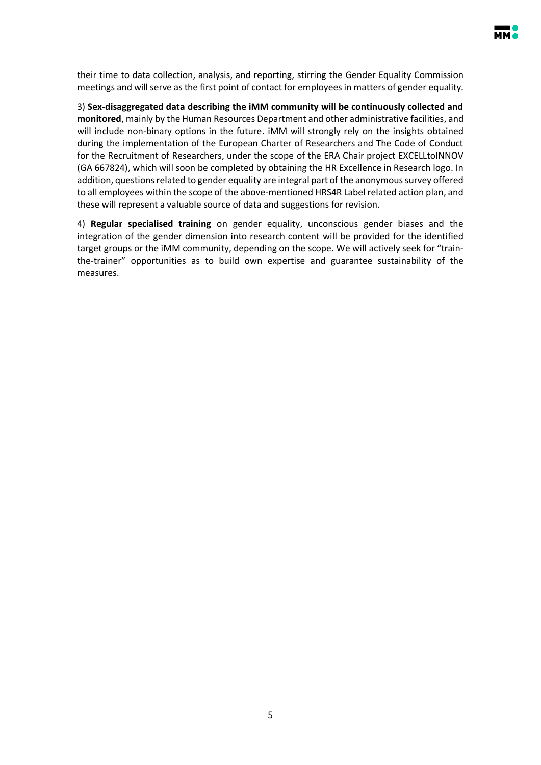

their time to data collection, analysis, and reporting, stirring the Gender Equality Commission meetings and will serve as the first point of contact for employees in matters of gender equality.

3) **Sex-disaggregated data describing the iMM community will be continuously collected and monitored**, mainly by the Human Resources Department and other administrative facilities, and will include non-binary options in the future. iMM will strongly rely on the insights obtained during the implementation of the European Charter of Researchers and The Code of Conduct for the Recruitment of Researchers, under the scope of the ERA Chair project EXCELLtoINNOV (GA 667824), which will soon be completed by obtaining the HR Excellence in Research logo. In addition, questions related to gender equality are integral part of the anonymous survey offered to all employees within the scope of the above-mentioned HRS4R Label related action plan, and these will represent a valuable source of data and suggestions for revision.

4) **Regular specialised training** on gender equality, unconscious gender biases and the integration of the gender dimension into research content will be provided for the identified target groups or the iMM community, depending on the scope. We will actively seek for "trainthe-trainer" opportunities as to build own expertise and guarantee sustainability of the measures.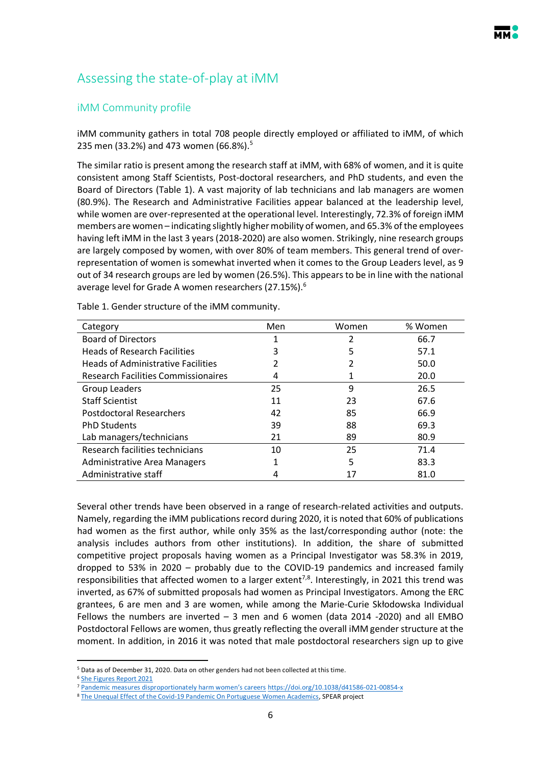## <span id="page-5-0"></span>Assessing the state-of-play at iMM

## <span id="page-5-1"></span>iMM Community profile

iMM community gathers in total 708 people directly employed or affiliated to iMM, of which 235 men (33.2%) and 473 women (66.8%).<sup>5</sup>

The similar ratio is present among the research staff at iMM, with 68% of women, and it is quite consistent among Staff Scientists, Post-doctoral researchers, and PhD students, and even the Board of Directors (Table 1). A vast majority of lab technicians and lab managers are women (80.9%). The Research and Administrative Facilities appear balanced at the leadership level, while women are over-represented at the operational level. Interestingly, 72.3% of foreign iMM members are women – indicating slightly higher mobility of women, and 65.3% of the employees having left iMM in the last 3 years (2018-2020) are also women. Strikingly, nine research groups are largely composed by women, with over 80% of team members. This general trend of overrepresentation of women is somewhat inverted when it comes to the Group Leaders level, as 9 out of 34 research groups are led by women (26.5%). This appears to be in line with the national average level for Grade A women researchers (27.15%).<sup>6</sup>

| Category                                   | Men | Women | % Women |
|--------------------------------------------|-----|-------|---------|
| <b>Board of Directors</b>                  |     |       | 66.7    |
| <b>Heads of Research Facilities</b>        | 3   | 5     | 57.1    |
| <b>Heads of Administrative Facilities</b>  | 2   |       | 50.0    |
| <b>Research Facilities Commissionaires</b> | 4   |       | 20.0    |
| Group Leaders                              | 25  | 9     | 26.5    |
| <b>Staff Scientist</b>                     | 11  | 23    | 67.6    |
| Postdoctoral Researchers                   | 42  | 85    | 66.9    |
| <b>PhD Students</b>                        | 39  | 88    | 69.3    |
| Lab managers/technicians                   | 21  | 89    | 80.9    |
| Research facilities technicians            | 10  | 25    | 71.4    |
| Administrative Area Managers               |     | 5     | 83.3    |
| Administrative staff                       | 4   |       | 81.0    |

Table 1. Gender structure of the iMM community.

Several other trends have been observed in a range of research-related activities and outputs. Namely, regarding the iMM publications record during 2020, it is noted that 60% of publications had women as the first author, while only 35% as the last/corresponding author (note: the analysis includes authors from other institutions). In addition, the share of submitted competitive project proposals having women as a Principal Investigator was 58.3% in 2019, dropped to 53% in 2020 – probably due to the COVID-19 pandemics and increased family responsibilities that affected women to a larger extent<sup>7,8</sup>. Interestingly, in 2021 this trend was inverted, as 67% of submitted proposals had women as Principal Investigators. Among the ERC grantees, 6 are men and 3 are women, while among the Marie-Curie Skłodowska Individual Fellows the numbers are inverted – 3 men and 6 women (data 2014 -2020) and all EMBO Postdoctoral Fellows are women, thus greatly reflecting the overall iMM gender structure at the moment. In addition, in 2016 it was noted that male postdoctoral researchers sign up to give

 $\ddot{\phantom{a}}$ 

<sup>5</sup> Data as of December 31, 2020. Data on other genders had not been collected at this time.

<sup>6</sup> [She Figures Report 2021](https://ec.europa.eu/assets/rtd/shefigures2021/index.html)

<sup>7</sup> Pandemic [measures disproportionately harm women's careers](https://www.nature.com/articles/d41586-021-00854-x) <https://doi.org/10.1038/d41586-021-00854-x>

<sup>&</sup>lt;sup>8</sup> [The Unequal Effect of the Covid-19 Pandemic On Portuguese Women Academics,](https://www.unl.pt/en/news/research/unequal-effect-covid-19-pandemic-portuguese-women-academics) SPEAR project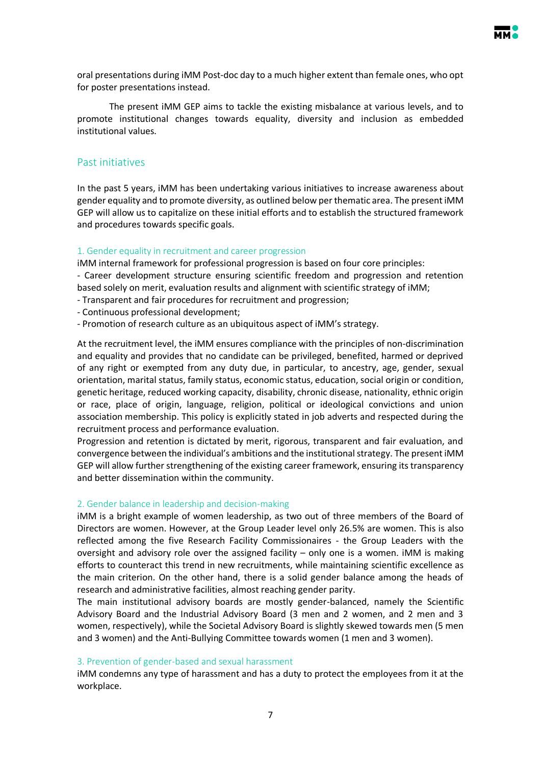

oral presentations during iMM Post-doc day to a much higher extent than female ones, who opt for poster presentations instead.

The present iMM GEP aims to tackle the existing misbalance at various levels, and to promote institutional changes towards equality, diversity and inclusion as embedded institutional values.

### <span id="page-6-0"></span>Past initiatives

In the past 5 years, iMM has been undertaking various initiatives to increase awareness about gender equality and to promote diversity, as outlined below per thematic area. The present iMM GEP will allow us to capitalize on these initial efforts and to establish the structured framework and procedures towards specific goals.

#### 1. Gender equality in recruitment and career progression

iMM internal framework for professional progression is based on four core principles:

- Career development structure ensuring scientific freedom and progression and retention based solely on merit, evaluation results and alignment with scientific strategy of iMM;

- Transparent and fair procedures for recruitment and progression;
- Continuous professional development;
- Promotion of research culture as an ubiquitous aspect of iMM's strategy.

At the recruitment level, the iMM ensures compliance with the principles of non-discrimination and equality and provides that no candidate can be privileged, benefited, harmed or deprived of any right or exempted from any duty due, in particular, to ancestry, age, gender, sexual orientation, marital status, family status, economic status, education, social origin or condition, genetic heritage, reduced working capacity, disability, chronic disease, nationality, ethnic origin or race, place of origin, language, religion, political or ideological convictions and union association membership. This policy is explicitly stated in job adverts and respected during the recruitment process and performance evaluation.

Progression and retention is dictated by merit, rigorous, transparent and fair evaluation, and convergence between the individual's ambitions and the institutional strategy. The present iMM GEP will allow further strengthening of the existing career framework, ensuring its transparency and better dissemination within the community.

### 2. Gender balance in leadership and decision-making

iMM is a bright example of women leadership, as two out of three members of the Board of Directors are women. However, at the Group Leader level only 26.5% are women. This is also reflected among the five Research Facility Commissionaires - the Group Leaders with the oversight and advisory role over the assigned facility – only one is a women. iMM is making efforts to counteract this trend in new recruitments, while maintaining scientific excellence as the main criterion. On the other hand, there is a solid gender balance among the heads of research and administrative facilities, almost reaching gender parity.

The main institutional advisory boards are mostly gender-balanced, namely the Scientific Advisory Board and the Industrial Advisory Board (3 men and 2 women, and 2 men and 3 women, respectively), while the Societal Advisory Board is slightly skewed towards men (5 men and 3 women) and the Anti-Bullying Committee towards women (1 men and 3 women).

#### 3. Prevention of gender-based and sexual harassment

iMM condemns any type of harassment and has a duty to protect the employees from it at the workplace.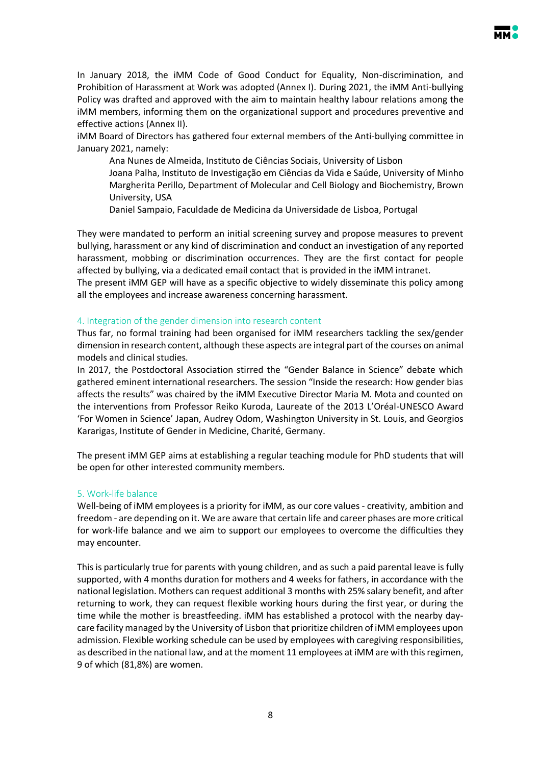In January 2018, the iMM Code of Good Conduct for Equality, Non-discrimination, and Prohibition of Harassment at Work was adopted (Annex I). During 2021, the iMM Anti-bullying Policy was drafted and approved with the aim to maintain healthy labour relations among the iMM members, informing them on the organizational support and procedures preventive and effective actions (Annex II).

iMM Board of Directors has gathered four external members of the Anti-bullying committee in January 2021, namely:

Ana Nunes de Almeida, Instituto de Ciências Sociais, University of Lisbon

Joana Palha, Instituto de Investigação em Ciências da Vida e Saúde, University of Minho Margherita Perillo, Department of Molecular and Cell Biology and Biochemistry, Brown University, USA

Daniel Sampaio, Faculdade de Medicina da Universidade de Lisboa, Portugal

They were mandated to perform an initial screening survey and propose measures to prevent bullying, harassment or any kind of discrimination and conduct an investigation of any reported harassment, mobbing or discrimination occurrences. They are the first contact for people affected by bullying, via a dedicated email contact that is provided in the iMM intranet. The present iMM GEP will have as a specific objective to widely disseminate this policy among

### 4. Integration of the gender dimension into research content

all the employees and increase awareness concerning harassment.

Thus far, no formal training had been organised for iMM researchers tackling the sex/gender dimension in research content, although these aspects are integral part of the courses on animal models and clinical studies.

In 2017, the Postdoctoral Association stirred the "Gender Balance in Science" debate which gathered eminent international researchers. The session "Inside the research: How gender bias affects the results" was chaired by the iMM Executive Director Maria M. Mota and counted on the interventions from Professor Reiko Kuroda, Laureate of the 2013 L'Oréal-UNESCO Award 'For Women in Science' Japan, Audrey Odom, Washington University in St. Louis, and Georgios Kararigas, Institute of Gender in Medicine, Charité, Germany.

The present iMM GEP aims at establishing a regular teaching module for PhD students that will be open for other interested community members.

### 5. Work-life balance

Well-being of iMM employees is a priority for iMM, as our core values - creativity, ambition and freedom - are depending on it. We are aware that certain life and career phases are more critical for work-life balance and we aim to support our employees to overcome the difficulties they may encounter.

This is particularly true for parents with young children, and as such a paid parental leave is fully supported, with 4 months duration for mothers and 4 weeks for fathers, in accordance with the national legislation. Mothers can request additional 3 months with 25% salary benefit, and after returning to work, they can request flexible working hours during the first year, or during the time while the mother is breastfeeding. iMM has established a protocol with the nearby daycare facility managed by the University of Lisbon that prioritize children of iMM employees upon admission. Flexible working schedule can be used by employees with caregiving responsibilities, as described in the national law, and at the moment 11 employees at iMM are with this regimen, 9 of which (81,8%) are women.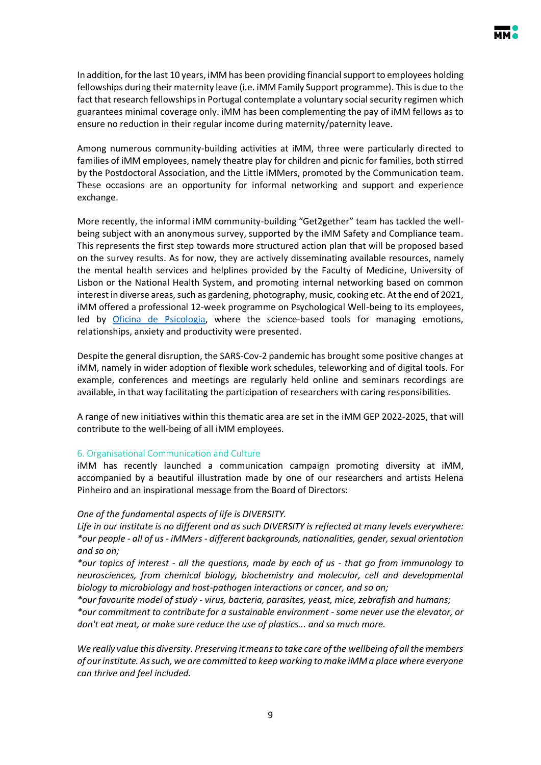In addition, for the last 10 years, iMM has been providing financial support to employees holding fellowships during their maternity leave (i.e. iMM Family Support programme). This is due to the fact that research fellowships in Portugal contemplate a voluntary social security regimen which guarantees minimal coverage only. iMM has been complementing the pay of iMM fellows as to ensure no reduction in their regular income during maternity/paternity leave.

Among numerous community-building activities at iMM, three were particularly directed to families of iMM employees, namely theatre play for children and picnic for families, both stirred by the Postdoctoral Association, and the Little iMMers, promoted by the Communication team. These occasions are an opportunity for informal networking and support and experience exchange.

More recently, the informal iMM community-building "Get2gether" team has tackled the wellbeing subject with an anonymous survey, supported by the iMM Safety and Compliance team. This represents the first step towards more structured action plan that will be proposed based on the survey results. As for now, they are actively disseminating available resources, namely the mental health services and helplines provided by the Faculty of Medicine, University of Lisbon or the National Health System, and promoting internal networking based on common interest in diverse areas, such as gardening, photography, music, cooking etc. At the end of 2021, iMM offered a professional 12-week programme on Psychological Well-being to its employees, led by [Oficina de Psicologia,](https://www.oficinadepsicologia.com/) where the science-based tools for managing emotions, relationships, anxiety and productivity were presented.

Despite the general disruption, the SARS-Cov-2 pandemic has brought some positive changes at iMM, namely in wider adoption of flexible work schedules, teleworking and of digital tools. For example, conferences and meetings are regularly held online and seminars recordings are available, in that way facilitating the participation of researchers with caring responsibilities.

A range of new initiatives within this thematic area are set in the iMM GEP 2022-2025, that will contribute to the well-being of all iMM employees.

### 6. Organisational Communication and Culture

iMM has recently launched a communication campaign promoting diversity at iMM, accompanied by a beautiful illustration made by one of our researchers and artists Helena Pinheiro and an inspirational message from the Board of Directors:

## *One of the fundamental aspects of life is DIVERSITY.*

*Life in our institute is no different and as such DIVERSITY is reflected at many levels everywhere: \*our people - all of us - iMMers - different backgrounds, nationalities, gender, sexual orientation and so on;*

*\*our topics of interest - all the questions, made by each of us - that go from immunology to neurosciences, from chemical biology, biochemistry and molecular, cell and developmental biology to microbiology and host-pathogen interactions or cancer, and so on;* 

*\*our favourite model of study - virus, bacteria, parasites, yeast, mice, zebrafish and humans; \*our commitment to contribute for a sustainable environment - some never use the elevator, or don't eat meat, or make sure reduce the use of plastics... and so much more.* 

*We really value this diversity. Preserving it means to take care of the wellbeing of all the members of our institute. As such, we are committed to keep working to make iMM a place where everyone can thrive and feel included.*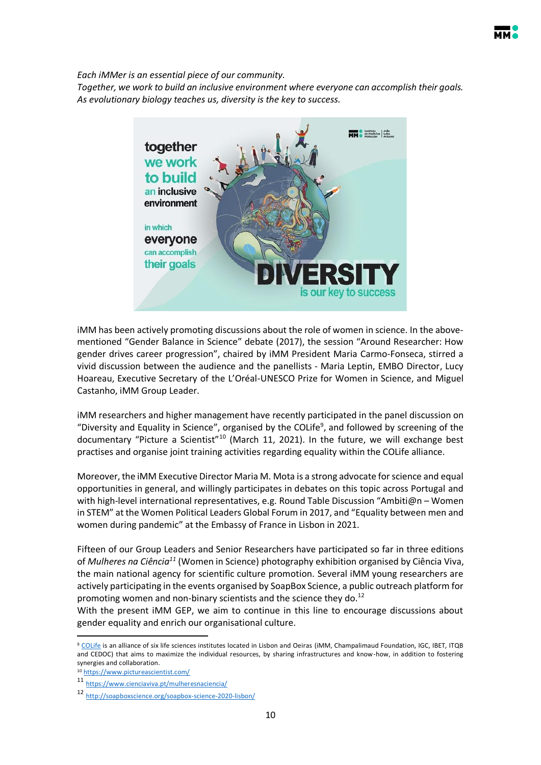

*Each iMMer is an essential piece of our community.* 

*Together, we work to build an inclusive environment where everyone can accomplish their goals. As evolutionary biology teaches us, diversity is the key to success.*



iMM has been actively promoting discussions about the role of women in science. In the abovementioned "Gender Balance in Science" debate (2017), the session "Around Researcher: How gender drives career progression", chaired by iMM President Maria Carmo-Fonseca, stirred a vivid discussion between the audience and the panellists - Maria Leptin, EMBO Director, Lucy Hoareau, Executive Secretary of the L'Oréal-UNESCO Prize for Women in Science, and Miguel Castanho, iMM Group Leader.

iMM researchers and higher management have recently participated in the panel discussion on "Diversity and Equality in Science", organised by the COLife<sup>9</sup>, and followed by screening of the documentary "Picture a Scientist"<sup>10</sup> (March 11, 2021). In the future, we will exchange best practises and organise joint training activities regarding equality within the COLife alliance.

Moreover, the iMM Executive Director Maria M. Mota is a strong advocate for science and equal opportunities in general, and willingly participates in debates on this topic across Portugal and with high-level international representatives, e.g. Round Table Discussion "Ambiti@n - Women in STEM" at the Women Political Leaders Global Forum in 2017, and "Equality between men and women during pandemic" at the Embassy of France in Lisbon in 2021.

Fifteen of our Group Leaders and Senior Researchers have participated so far in three editions of *Mulheres na Ciência<sup>11</sup>* (Women in Science) photography exhibition organised by Ciência Viva, the main national agency for scientific culture promotion. Several iMM young researchers are actively participating in the events organised by SoapBox Science, a public outreach platform for promoting women and non-binary scientists and the science they do. $^{12}$ 

With the present iMM GEP, we aim to continue in this line to encourage discussions about gender equality and enrich our organisational culture.

 $\ddot{\phantom{a}}$ 

<sup>9</sup> [COLife](https://colife.eu/) is an alliance of six life sciences institutes located in Lisbon and Oeiras (iMM, Champalimaud Foundation, IGC, IBET, ITQB and CEDOC) that aims to maximize the individual resources, by sharing infrastructures and know-how, in addition to fostering synergies and collaboration.

<sup>10</sup> <https://www.pictureascientist.com/>

<sup>11</sup> <https://www.cienciaviva.pt/mulheresnaciencia/>

<sup>12</sup> <http://soapboxscience.org/soapbox-science-2020-lisbon/>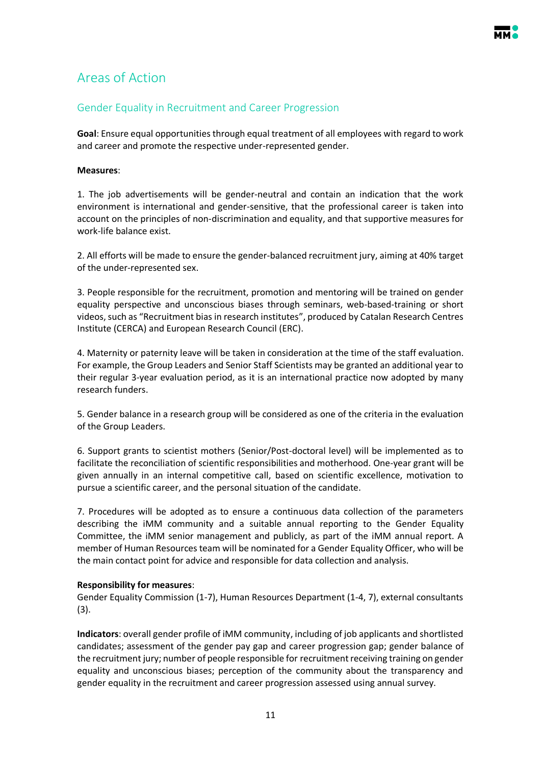## <span id="page-10-0"></span>Areas of Action

## <span id="page-10-1"></span>Gender Equality in Recruitment and Career Progression

**Goal**: Ensure equal opportunities through equal treatment of all employees with regard to work and career and promote the respective under-represented gender.

### **Measures**:

1. The job advertisements will be gender-neutral and contain an indication that the work environment is international and gender-sensitive, that the professional career is taken into account on the principles of non-discrimination and equality, and that supportive measures for work-life balance exist.

2. All efforts will be made to ensure the gender-balanced recruitment jury, aiming at 40% target of the under-represented sex.

3. People responsible for the recruitment, promotion and mentoring will be trained on gender equality perspective and unconscious biases through seminars, web-based-training or short videos, such as "Recruitment bias in research institutes", produced by Catalan Research Centres Institute (CERCA) and European Research Council (ERC).

4. Maternity or paternity leave will be taken in consideration at the time of the staff evaluation. For example, the Group Leaders and Senior Staff Scientists may be granted an additional year to their regular 3-year evaluation period, as it is an international practice now adopted by many research funders.

5. Gender balance in a research group will be considered as one of the criteria in the evaluation of the Group Leaders.

6. Support grants to scientist mothers (Senior/Post-doctoral level) will be implemented as to facilitate the reconciliation of scientific responsibilities and motherhood. One-year grant will be given annually in an internal competitive call, based on scientific excellence, motivation to pursue a scientific career, and the personal situation of the candidate.

7. Procedures will be adopted as to ensure a continuous data collection of the parameters describing the iMM community and a suitable annual reporting to the Gender Equality Committee, the iMM senior management and publicly, as part of the iMM annual report. A member of Human Resources team will be nominated for a Gender Equality Officer, who will be the main contact point for advice and responsible for data collection and analysis.

### **Responsibility for measures**:

Gender Equality Commission (1-7), Human Resources Department (1-4, 7), external consultants (3).

**Indicators**: overall gender profile of iMM community, including of job applicants and shortlisted candidates; assessment of the gender pay gap and career progression gap; gender balance of the recruitment jury; number of people responsible for recruitment receiving training on gender equality and unconscious biases; perception of the community about the transparency and gender equality in the recruitment and career progression assessed using annual survey.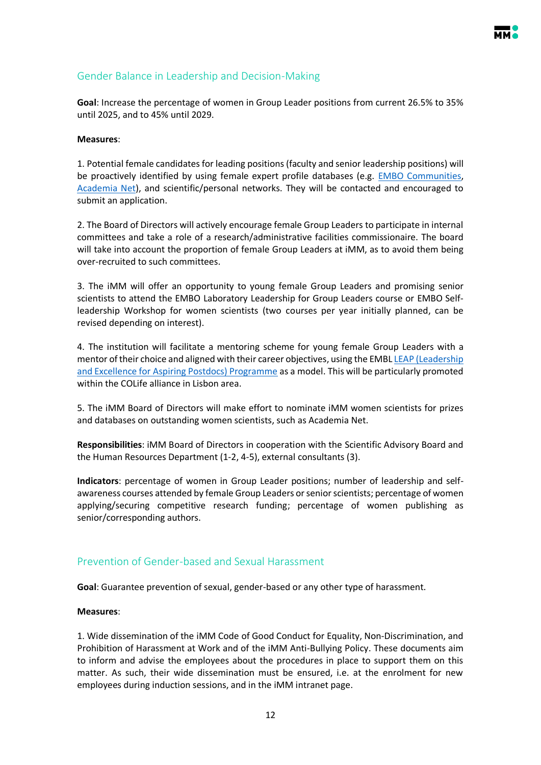

## <span id="page-11-0"></span>Gender Balance in Leadership and Decision-Making

**Goal**: Increase the percentage of women in Group Leader positions from current 26.5% to 35% until 2025, and to 45% until 2029.

#### **Measures**:

1. Potential female candidates for leading positions (faculty and senior leadership positions) will be proactively identified by using female expert profile databases (e.g. [EMBO Communities,](https://www.embo.org/the-embo-communities/) [Academia](https://www.academia-net.org/project/) Net), and scientific/personal networks. They will be contacted and encouraged to submit an application.

2. The Board of Directors will actively encourage female Group Leaders to participate in internal committees and take a role of a research/administrative facilities commissionaire. The board will take into account the proportion of female Group Leaders at iMM, as to avoid them being over-recruited to such committees.

3. The iMM will offer an opportunity to young female Group Leaders and promising senior scientists to attend the EMBO Laboratory Leadership for Group Leaders course or EMBO Selfleadership Workshop for women scientists (two courses per year initially planned, can be revised depending on interest).

4. The institution will facilitate a mentoring scheme for young female Group Leaders with a mentor of their choice and aligned with their career objectives, using the EMBL LEAP (Leadership [and Excellence for Aspiring Postdocs\) Programme](https://www.embl.org/about/info/equality-diversity/projects/leadership-and-excellence-for-aspiring-postdocs/) as a model. This will be particularly promoted within the COLife alliance in Lisbon area.

5. The iMM Board of Directors will make effort to nominate iMM women scientists for prizes and databases on outstanding women scientists, such as Academia Net.

**Responsibilities**: iMM Board of Directors in cooperation with the Scientific Advisory Board and the Human Resources Department (1-2, 4-5), external consultants (3).

**Indicators**: percentage of women in Group Leader positions; number of leadership and selfawareness courses attended by female Group Leaders or senior scientists; percentage of women applying/securing competitive research funding; percentage of women publishing as senior/corresponding authors.

## <span id="page-11-1"></span>Prevention of Gender-based and Sexual Harassment

**Goal**: Guarantee prevention of sexual, gender-based or any other type of harassment.

#### **Measures**:

1. Wide dissemination of the iMM Code of Good Conduct for Equality, Non-Discrimination, and Prohibition of Harassment at Work and of the iMM Anti-Bullying Policy. These documents aim to inform and advise the employees about the procedures in place to support them on this matter. As such, their wide dissemination must be ensured, i.e. at the enrolment for new employees during induction sessions, and in the iMM intranet page.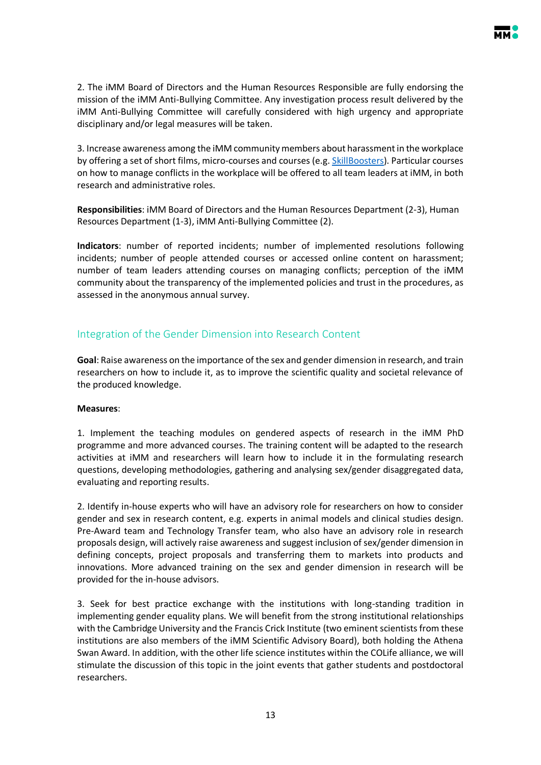

2. The iMM Board of Directors and the Human Resources Responsible are fully endorsing the mission of the iMM Anti-Bullying Committee. Any investigation process result delivered by the iMM Anti-Bullying Committee will carefully considered with high urgency and appropriate disciplinary and/or legal measures will be taken.

3. Increase awareness among the iMM community members about harassment in the workplace by offering a set of short films, micro-courses and courses (e.g[. SkillBoosters\)](https://skillboosters.com/). Particular courses on how to manage conflicts in the workplace will be offered to all team leaders at iMM, in both research and administrative roles.

**Responsibilities**: iMM Board of Directors and the Human Resources Department (2-3), Human Resources Department (1-3), iMM Anti-Bullying Committee (2).

**Indicators**: number of reported incidents; number of implemented resolutions following incidents; number of people attended courses or accessed online content on harassment; number of team leaders attending courses on managing conflicts; perception of the iMM community about the transparency of the implemented policies and trust in the procedures, as assessed in the anonymous annual survey.

## <span id="page-12-0"></span>Integration of the Gender Dimension into Research Content

**Goal**: Raise awareness on the importance of the sex and gender dimension in research, and train researchers on how to include it, as to improve the scientific quality and societal relevance of the produced knowledge.

### **Measures**:

1. Implement the teaching modules on gendered aspects of research in the iMM PhD programme and more advanced courses. The training content will be adapted to the research activities at iMM and researchers will learn how to include it in the formulating research questions, developing methodologies, gathering and analysing sex/gender disaggregated data, evaluating and reporting results.

2. Identify in-house experts who will have an advisory role for researchers on how to consider gender and sex in research content, e.g. experts in animal models and clinical studies design. Pre-Award team and Technology Transfer team, who also have an advisory role in research proposals design, will actively raise awareness and suggest inclusion of sex/gender dimension in defining concepts, project proposals and transferring them to markets into products and innovations. More advanced training on the sex and gender dimension in research will be provided for the in-house advisors.

3. Seek for best practice exchange with the institutions with long-standing tradition in implementing gender equality plans. We will benefit from the strong institutional relationships with the Cambridge University and the Francis Crick Institute (two eminent scientists from these institutions are also members of the iMM Scientific Advisory Board), both holding the Athena Swan Award. In addition, with the other life science institutes within the COLife alliance, we will stimulate the discussion of this topic in the joint events that gather students and postdoctoral researchers.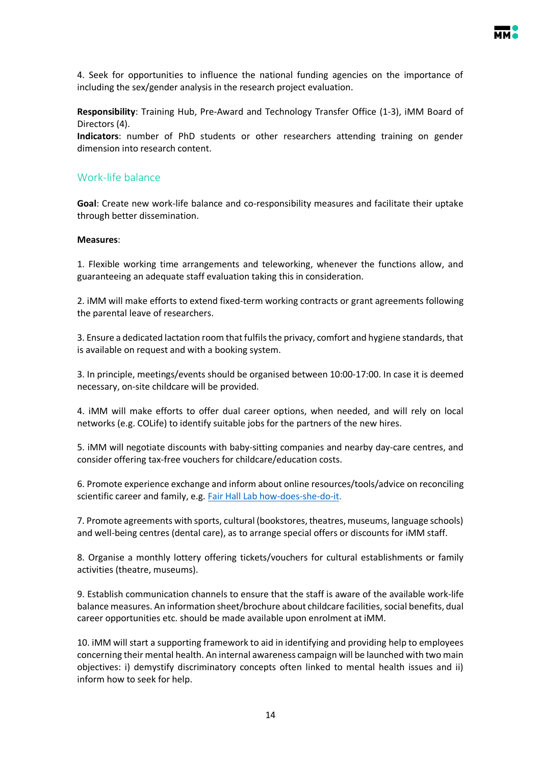

4. Seek for opportunities to influence the national funding agencies on the importance of including the sex/gender analysis in the research project evaluation.

**Responsibility**: Training Hub, Pre-Award and Technology Transfer Office (1-3), iMM Board of Directors (4).

**Indicators**: number of PhD students or other researchers attending training on gender dimension into research content.

### <span id="page-13-0"></span>Work-life balance

**Goal**: Create new work-life balance and co-responsibility measures and facilitate their uptake through better dissemination.

#### **Measures**:

1. Flexible working time arrangements and teleworking, whenever the functions allow, and guaranteeing an adequate staff evaluation taking this in consideration.

2. iMM will make efforts to extend fixed-term working contracts or grant agreements following the parental leave of researchers.

3. Ensure a dedicated lactation room that fulfils the privacy, comfort and hygiene standards, that is available on request and with a booking system.

3. In principle, meetings/events should be organised between 10:00-17:00. In case it is deemed necessary, on-site childcare will be provided.

4. iMM will make efforts to offer dual career options, when needed, and will rely on local networks (e.g. COLife) to identify suitable jobs for the partners of the new hires.

5. iMM will negotiate discounts with baby-sitting companies and nearby day-care centres, and consider offering tax-free vouchers for childcare/education costs.

6. Promote experience exchange and inform about online resources/tools/advice on reconciling scientific career and family, e.g[. Fair Hall Lab how-does-she-do-it.](https://fairhalllab.com/careers/how-does-she-do-it/)

7. Promote agreements with sports, cultural (bookstores, theatres, museums, language schools) and well-being centres (dental care), as to arrange special offers or discounts for iMM staff.

8. Organise a monthly lottery offering tickets/vouchers for cultural establishments or family activities (theatre, museums).

9. Establish communication channels to ensure that the staff is aware of the available work-life balance measures. An information sheet/brochure about childcare facilities, social benefits, dual career opportunities etc. should be made available upon enrolment at iMM.

10. iMM will start a supporting framework to aid in identifying and providing help to employees concerning their mental health. An internal awareness campaign will be launched with two main objectives: i) demystify discriminatory concepts often linked to mental health issues and ii) inform how to seek for help.